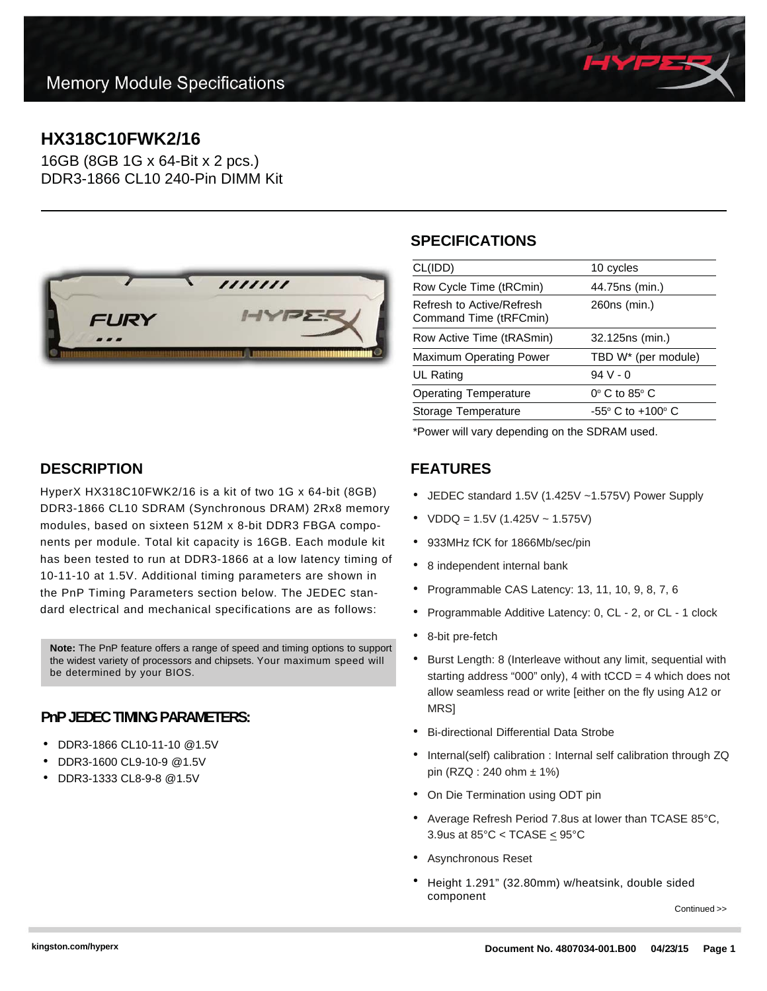## **HX318C10FWK2/16**

16GB (8GB 1G x 64-Bit x 2 pcs.) DDR3-1866 CL10 240-Pin DIMM Kit



### **SPECIFICATIONS**

| CL(IDD)                                             | 10 cycles                           |
|-----------------------------------------------------|-------------------------------------|
| Row Cycle Time (tRCmin)                             | 44.75ns (min.)                      |
| Refresh to Active/Refresh<br>Command Time (tRFCmin) | 260ns (min.)                        |
| Row Active Time (tRASmin)                           | 32.125ns (min.)                     |
| <b>Maximum Operating Power</b>                      | TBD W* (per module)                 |
| UL Rating                                           | $94V - 0$                           |
| <b>Operating Temperature</b>                        | $0^\circ$ C to 85 $^\circ$ C        |
| Storage Temperature                                 | $-55^{\circ}$ C to $+100^{\circ}$ C |
|                                                     |                                     |

\*Power will vary depending on the SDRAM used.

#### **FEATURES**

- JEDEC standard 1.5V (1.425V ~1.575V) Power Supply
- $VDDQ = 1.5V (1.425V 1.575V)$
- 933MHz fCK for 1866Mb/sec/pin
- 8 independent internal bank
- Programmable CAS Latency: 13, 11, 10, 9, 8, 7, 6
- Programmable Additive Latency: 0, CL 2, or CL 1 clock
- 8-bit pre-fetch
- Burst Length: 8 (Interleave without any limit, sequential with starting address "000" only), 4 with  $tCCD = 4$  which does not allow seamless read or write [either on the fly using A12 or **MRS1**
- Bi-directional Differential Data Strobe
- Internal(self) calibration : Internal self calibration through ZQ pin (RZQ : 240 ohm ± 1%)
- On Die Termination using ODT pin
- Average Refresh Period 7.8us at lower than TCASE 85°C, 3.9us at  $85^{\circ}$ C < TCASE  $\leq$  95 $^{\circ}$ C
- Asynchronous Reset
- Height 1.291" (32.80mm) w/heatsink, double sided component

Continued >>

## **DESCRIPTION**

HyperX HX318C10FWK2/16 is a kit of two 1G x 64-bit (8GB) DDR3-1866 CL10 SDRAM (Synchronous DRAM) 2Rx8 memory modules, based on sixteen 512M x 8-bit DDR3 FBGA components per module. Total kit capacity is 16GB. Each module kit has been tested to run at DDR3-1866 at a low latency timing of 10-11-10 at 1.5V. Additional timing parameters are shown in the PnP Timing Parameters section below. The JEDEC standard electrical and mechanical specifications are as follows:

**Note:** The PnP feature offers a range of speed and timing options to support the widest variety of processors and chipsets. Your maximum speed will be determined by your BIOS.

#### **PnP JEDEC TIMING PARAMETERS:**

- DDR3-1866 CL10-11-10 @1.5V
- DDR3-1600 CL9-10-9 @1.5V
- DDR3-1333 CL8-9-8 @1.5V